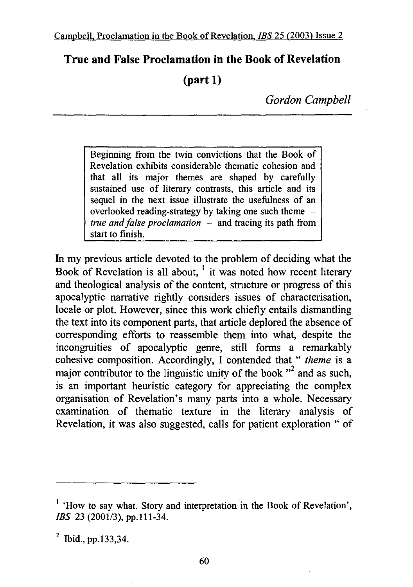## **True and False Proclamation in the Book of Revelation**

## **(part 1)**

*Gordon Campbell* 

Beginning from the twin convictions that the Book of Revelation exhibits considerable thematic cohesion and that all its major themes are shaped by carefully sustained use of literary contrasts, this article and its sequel in the next issue illustrate the usefulness of an overlooked reading-strategy by taking one such theme *true and false proclamation* – and tracing its path from start to finish.

In my previous article devoted to the problem of deciding what the Book of Revelation is all about,  $\frac{1}{1}$  it was noted how recent literary and theological analysis of the content, structure or progress of this apocalyptic narrative rightly considers issues of characterisation, locale or plot. However, since this work chiefly entails dismantling the text into its component parts, that article deplored the absence of corresponding efforts to reassemble them into what, despite the incongruities of apocalyptic genre, still forms a remarkably cohesive composition. Accordingly, I contended that " *theme* is a major contributor to the linguistic unity of the book  $\mathfrak{r}^2$  and as such, is an important heuristic category for appreciating the complex organisation of Revelation's many parts into a whole. Necessary examination of thematic texture in the literary analysis of Revelation, it was also suggested, caIIs for patient exploration " of

<sup>&</sup>lt;sup>1</sup> 'How to say what. Story and interpretation in the Book of Revelation', JBS 23 (2001/3), pp.111-34.

 $^{2}$  Ibid., pp.133,34.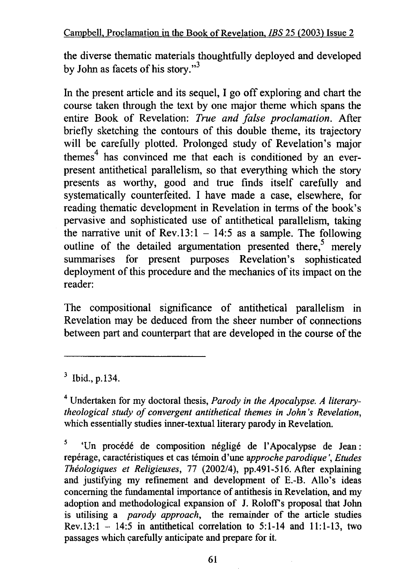the diverse thematic materials thoughtfully deployed and developed by John as facets of his story."<sup>3</sup>

In the present article and its sequel, I go off exploring and chart the course taken through the text by one major theme which spans the entire Book of Revelation: *True and false proclamation.* After briefly sketching the contours of this double theme, its trajectory will be carefully plotted. Prolonged study of Revelation's major themes $<sup>4</sup>$  has convinced me that each is conditioned by an ever-</sup> present antithetical parallelism, so that everything which the story presents as worthy, good and true finds itself carefully and systematically counterfeited. I have made a case, elsewhere, for reading thematic development in Revelation in terms of the book's pervasive and sophisticated use of antithetical parallelism, taking the narrative unit of Rev.13:1 - 14:5 as a sample. The following outline of the detailed argumentation presented there,<sup>5</sup> merely summarises for present purposes Revelation's sophisticated deployment of this procedure and the mechanics of its impact on the reader:

The compositional significance of antithetical parallelism in Revelation may be deduced from the sheer number of connections between part and counterpart that are developed in the course of the

3 Ibid., p.134.

<sup>4</sup>Undertaken for my doctoral thesis, *Parody in the Apocalypse. A literarytheo/ogical study of convergent antithetical themes in John 's Revelation,*  which essentially studies inner-textual literary parody in Revelation.

5 'Un procédé de composition négligé de l'Apocalypse de Jean : reperage, caracteristiques et cas temoin d'une *approche parodique* ', *Etudes Theo/ogiques et Religieuses,* 77 (2002/4), pp.491-516. After explaining and justifying my refinement and development of E.-B. Allo's ideas concerning the fundamental importance of antithesis in Revelation, and my adoption and methodological expansion of J. Roloff's proposal that John is utilising a *parody approach*, the remainder of the article studies Rev.13:1  $-$  14:5 in antithetical correlation to 5:1-14 and 11:1-13, two passages which carefully anticipate and prepare for it.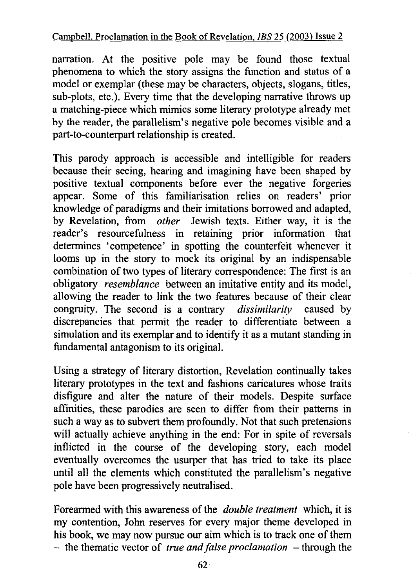narration. At the positive pole may be found those textual phenomena to which the story assigns the function and status of a model or exemplar (these may be characters, objects, slogans, titles, sub-plots, etc.). Every time that the developing narrative throws up a matching-piece which mimics some literary prototype already met by the reader, the parallelism's negative pole becomes visible and a part-to-counterpart relationship is created.

This parody approach is accessible and intelligible for readers because their seeing, hearing and imagining have been shaped by positive textual components before ever the negative forgeries appear. Some of this familiarisation relies on readers' prior knowledge of paradigms and their imitations borrowed and adapted, by Revelation, from *other* Jewish texts. Either way, it is the reader's resourcefulness in retaining prior information that determines 'competence' in spotting the counterfeit whenever it looms up in the story to mock its original by an indispensable combination of two types of literary correspondence: The first is an obligatory *resemblance* between an imitative entity and its model, allowing the reader to link the two features because of their clear congruity. The second is a contrary *dissimilarity* caused by discrepancies that permit the reader to differentiate between a simulation and its exemplar and to identify it as a mutant standing in fundamental antagonism to its original.

Using a strategy of literary distortion, Revelation continually takes literary prototypes in the text and fashions caricatures whose traits disfigure and alter the nature of their models. Despite surface affinities, these parodies are seen to differ from their patterns in such a way as to subvert them profoundly. Not that such pretensions will actually achieve anything in the end: For in spite of reversals inflicted in the course of the developing story, each model eventually overcomes the usurper that has tried to take its place until all the elements which constituted the parallelism's negative pole have been progressively neutralised.

Forearmed with this awareness of the *double treatment* which, it is my contention, John reserves for every major theme developed in his book, we may now pursue our aim which is to track one of them - the thematic vector of *true and false proclamation* – through the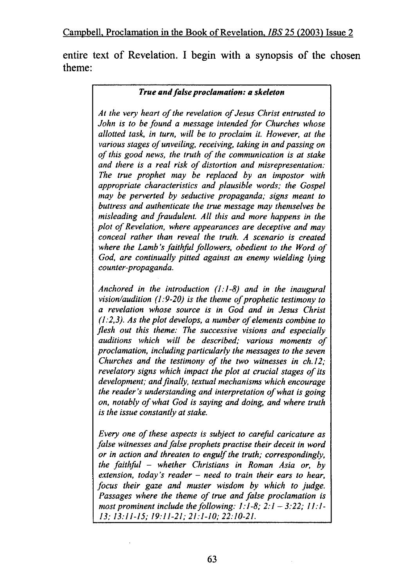entire text of Revelation. I begin with a synopsis of the chosen theme:

## *True and false proclamation: a skeleton*

*At the very heart of the revelation of Jesus Christ entrusted to John is to be found a message intended for Churches whose allotted task, in turn, will be to proclaim it. However, at the various stages of unveiling, receiving, taking in and passing on of this good news, the truth of the communication is at stake and there is a real risk of distortion and misrepresentation: The true prophet may be replaced by an impostor with appropriate characteristics and plausible words; the Gospel may be perverted by seductive propaganda; signs meant to buttress and authenticate the true message may themselves be misleading and fraudulent. A II this and more happens in the plot of Revelation, where appearances are deceptive and may conceal rather than reveal the truth. A scenario is created where the Lamb's faithful followers, obedient to the Word of God, are continually pitted against an enemy wielding lying counter-propaganda.* 

*Anchored in the introduction (/: 1-8) and in the inaugural vision/audition (1:9-20) is the theme of prophetic testimony to a revelation whose source is in God and in Jesus Christ (1:2,3). As the plot develops, a number of elements combine to flesh out this theme: The successive visions and especially auditions which will be described; various moments of proclamation, including particularly the messages to the seven Churches and the testimony of the two witnesses in ch.12; revelatory signs which impact the plot at crucial stages of its development; and finally, textual mechanisms which encourage the reader's understanding and interpretation of what is going on, notably of what God is saying and doing, and where truth is the issue constantly at stake.* 

*Every one of these aspects is subject to careful caricature as false witnesses and false prophets practise their deceit in word or in action and threaten to engulf the truth; correspondingly, the faithful* - *whether Christians in Roman Asia or, by extension, today's reader* - *need to train their ears to hear, focus their gaze and muster wisdom by which to judge. Passages where the theme of true and false proclamation is most prominent include the following: 1: 1-8; 2: 1* - *3:22; 11: 1- 13; 13:11-15; 19:11-21; 21:1-10; 22:10-21.*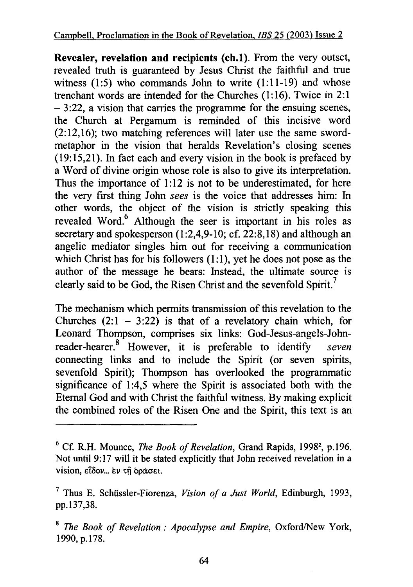**Revealer, revelation and recipients (ch.1).** From the very outset, revealed truth is guaranteed by Jesus Christ the faithful and true witness (1:5) who commands John to write (1:11-19) and whose trenchant words are intended for the Churches (1:16). Twice in 2:1  $-3:22$ , a vision that carries the programme for the ensuing scenes, the Church at Pergamum is reminded of this incisive word (2:12,16); two matching references will later use the same swordmetaphor in the vision that heralds Revelation's closing scenes (19:15,21). In fact each and every vision in the book is prefaced by a Word of divine origin whose role is also to give its interpretation. Thus the importance of 1:12 is not to be underestimated, for here the very first thing John *sees* is the voice that addresses him: In other words, the object of the vision is strictly speaking this revealed Word.<sup>6</sup> Although the seer is important in his roles as secretary and spokesperson (1:2,4,9-10; cf. 22:8,18) and although an angelic mediator singles him out for receiving a communication which Christ has for his followers (1:1), yet he does not pose as the author of the message he bears: Instead, the ultimate source is clearly said to be God, the Risen Christ and the sevenfold Spirit.<sup>7</sup>

The mechanism which permits transmission of this revelation to the Churches  $(2:1 - 3:22)$  is that of a revelatory chain which, for Leonard Thompson, comprises six links: God-Jesus-angels-Johnreader-hearer. 8 However, it is preferable to identify *seven*  connecting links and to include the Spirit (or seven spirits, sevenfold Spirit); Thompson has overlooked the programmatic significance of 1:4,5 where the Spirit is associated both with the Eternal God and with Christ the faithful witness. By making explicit the combined roles of the Risen One and the Spirit, this text is an

<sup>&</sup>lt;sup>6</sup> Cf. R.H. Mounce, *The Book of Revelation*, Grand Rapids, 1998<sup>2</sup>, p.196. Not until 9:17 will it be stated explicitly that John received revelation in a vision, είδον... εν τη οράσει.

<sup>7</sup> Thus E. Schussler-Fiorenza, *Vision of a Just World,* Edinburgh, 1993, pp.137,38.

<sup>8</sup>*The Book of Revelation: Apocalypse and Empire,* Oxford/New York, 1990, p.178.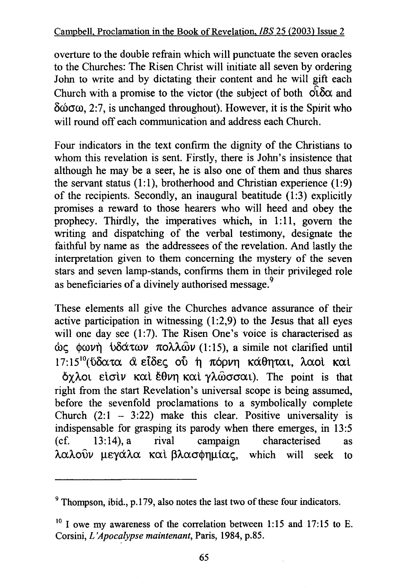overture to the double refrain which will punctuate the seven oracles to the Churches: The Risen Christ will initiate all seven by ordering John to write and by dictating their content and he will gift each Church with a promise to the victor (the subject of both  $\partial \Omega$  and  $\delta \omega \sigma \omega$ , 2:7, is unchanged throughout). However, it is the Spirit who will round off each communication and address each Church.

Four indicators in the text confirm the dignity of the Christians to whom this revelation is sent. Firstly, there is John's insistence that although he may be a seer, he is also one of them and thus shares the servant status (1:1), brotherhood and Christian experience (1:9) of the recipients. Secondly, an inaugural beatitude  $(1:3)$  explicitly promises a reward to those hearers who will heed and obey the prophecy. Thirdly, the imperatives which, in 1:11, govern the writing and dispatching of the verbal testimony, designate the faithful by name as the addressees of the revelation. And lastly the interpretation given to them concerning the mystery of the seven stars and seven lamp-stands, confirms them in their privileged role as beneficiaries of a divinely authorised message.<sup>9</sup>

These elements all give the Churches advance assurance of their active participation in witnessing  $(1:2,9)$  to the Jesus that all eyes will one day see (1:7). The Risen One's voice is characterised as ώς φωνή υδάτων πολλών (1:15), a simile not clarified until  $17:15^{10}$  (ύδατα α είδες ού ή πόρνη κάθηται, λαοί καί  $\delta$ γλοι είσιν και έθνη και γλώσσαι). The point is that right from the start Revelation's universal scope is being assumed, before the sevenfold proclamations to a symbolically complete Church  $(2: 1 - 3: 22)$  make this clear. Positive universality is indispensable for grasping its parody when there emerges, in 13:5 (cf. 13:14), a rival campaign characterised as  $\lambda \alpha \lambda$ ούν μεγάλα και βλασφημίας, which will seek to

<sup>&</sup>lt;sup>9</sup> Thompson, ibid., p.179, also notes the last two of these four indicators.

 $10$  I owe my awareness of the correlation between 1:15 and 17:15 to E. Corsini, *L 'Apocalypse maintenant,* Paris, 1984, p.85.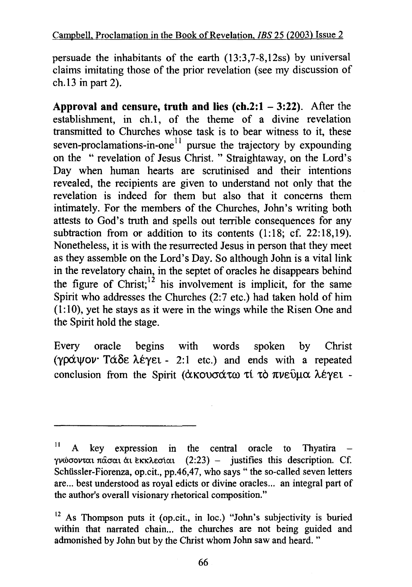persuade the inhabitants of the earth (13:3,7-8,12ss) by universal claims imitating those of the prior revelation (see my discussion of ch.13 in part 2).

**Approval and censure, truth and lies (ch.2:1 - 3:22).** After the establishment, in ch.1, of the theme of a divine revelation transmitted to Churches whose task is to bear witness to it, these seven-proclamations-in-one<sup> $11$ </sup> pursue the trajectory by expounding on the " revelation of Jesus Christ. " Straightaway, on the Lord's Day when human hearts are scrutinised and their intentions revealed, the recipients are given to understand not only that the revelation is indeed for them but also that it concerns them intimately. For the members of the Churches, John's writing both attests to God's truth and spells out terrible consequences for any subtraction from or addition to its contents  $(1:18; cf. 22:18, 19)$ . Nonetheless, it is with the resurrected Jesus in person that they meet as they assemble on the Lord's Day. So although John is a vital link in the revelatory chain, in the septet of oracles he disappears behind the figure of Christ;  $\frac{1}{2}$  his involvement is implicit, for the same Spirit who addresses the Churches (2:7 etc.) had taken hold of him (1: 10), yet he stays as it were in the wings while the Risen One and the Spirit hold the stage.

Every oracle begins with words spoken by Christ ( $\gamma$ pá $\gamma$ ov· Tá $\delta \varepsilon$   $\lambda \varepsilon$  $\gamma \varepsilon$  - 2:1 etc.) and ends with a repeated conclusion from the Spirit (άκουσάτω τί το πνεύμα λέγει -

 $11$  A key expression in the central oracle to Thyatira γνώσονται πάσαι αι εκκλεσίαι  $(2:23)$  - justifies this description. Cf. Schüssler-Fiorenza, op.cit., pp.46,47, who says " the so-called seven letters are... best understood as royal edicts or divine oracles... an integral part of the author's overall visionary rhetorical composition."

<sup>12</sup> As Thompson puts it (op.cit., in loc.) "John's subjectivity is buried within that narrated chain... the churches are not being guided and admonished by John but by the Christ whom John saw and heard. "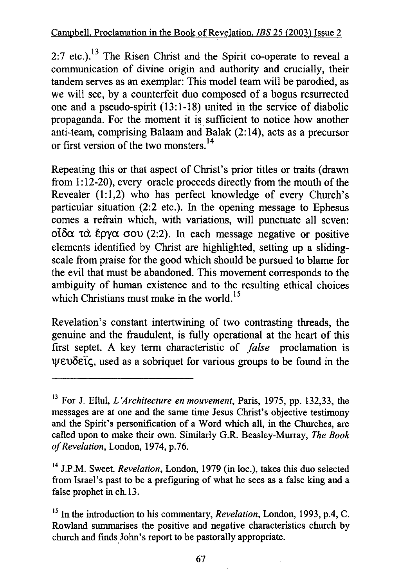2:7 etc.).<sup>13</sup> The Risen Christ and the Spirit co-operate to reveal a communication of divine origin and authority and crucially, their tandem serves as an exemplar: This model team will be parodied, as we will see, by a counterfeit duo composed of a bogus resurrected one and a pseudo-spirit (13:1-18) united in the service of diabolic propaganda. For the moment it is sufficient to notice how another anti-team, comprising Balaam and Balak (2: 14), acts as a precursor or first version of the two monsters. <sup>14</sup>

Repeating this or that aspect of Christ's prior titles or traits (drawn from 1:12-20), every oracle proceeds directly from the mouth of the Revealer (1:1,2) who has perfect knowledge of every Church's particular situation (2:2 etc.). In the opening message to Ephesus comes a refrain which, with variations, will punctuate all seven: oίδα τα έργα σου (2:2). In each message negative or positive elements identified by Christ are highlighted, setting up a slidingscale from praise for the good which should be pursued to blame for the evil that must be abandoned. This movement corresponds to the ambiguity of human existence and to the resulting ethical choices which Christians must make in the world.<sup>15</sup>

Revelation's constant intertwining of two contrasting threads, the genuine and the fraudulent, is fully operational at the heart of this first septet. A key term characteristic of *false* proclamation is  $\psi \in \mathcal{E}$  is a sobriquet for various groups to be found in the

<sup>13</sup> For J. Ellul, *L 'Architecture en mouvement,* Paris, 1975, pp. 132,33, the messages are at one and the same time Jesus Christ's objective testimony and the Spirit's personification of a Word which all, in the Churches, are called upon to make their own. Similarly G.R. Beasley-Murray, *The Book of Revelation,* London, 1974, p.76.

<sup>&</sup>lt;sup>14</sup> J.P.M. Sweet, *Revelation*, London, 1979 (in loc.), takes this duo selected from Israel's past to be a prefiguring of what he sees as a false king and a false prophet in ch.13.

<sup>&</sup>lt;sup>15</sup> In the introduction to his commentary, *Revelation*, London, 1993, p.4, C. Rowland summarises the positive and negative characteristics church by church and finds John's report to be pastorally appropriate.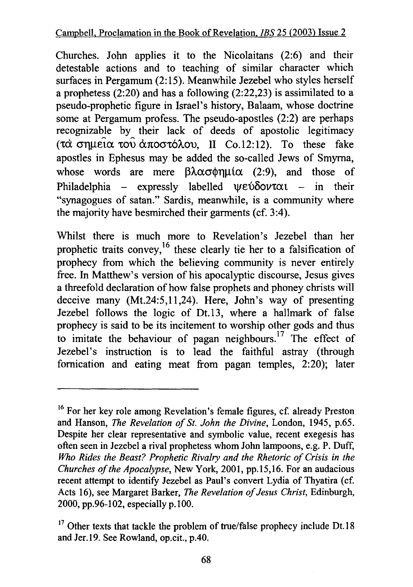Churches. John applies it to the Nicolaitans (2:6) and their detestable actions and to teaching of similar character which surfaces in Pergamum (2:15). Meanwhile Jezebel who styles herself a prophetess (2:20) and has a following (2:22,23) is assimilated to a pseudo-prophetic figure in Israel's history, Balaam, whose doctrine some at Pergamum profess. The pseudo-apostles (2:2) are perhaps recognizable by their lack of deeds of apostolic legitimacy (τα σημεία του αποστόλου, II Co.12:12). To these fake apostles in Ephesus may be added the so-called Jews of Smyrna, whose words are mere  $\beta \lambda \alpha \sigma \phi \eta \mu \alpha$  (2:9), and those of Philadelphia - expressly labelled  $\psi \epsilon \hat{\nu} \delta \hat{\nu} \nu \alpha \iota$  - in their "synagogues of satan." Sardis, meanwhile, is a community where the majority have besmirched their garments (cf. 3:4).

Whilst there is much more to Revelation's Jezebel than her prophetic traits convey,<sup>16</sup> these clearly tie her to a falsification of prophecy from which the believing community is never entirely free. In Matthew's version of his apocalyptic discourse, Jesus gives a threefold declaration of how false prophets and phoney christs will deceive many (Mt.24:5,11,24). Here, John's way of presenting Jezebel follows the logic of Dt.13, where a hallmark of false prophecy is said to be its incitement to worship other gods and thus to imitate the behaviour of pagan neighbours.<sup>17</sup> The effect of Jezebel's instruction is to lead the faithful astray (through fornication and eating meat from pagan temples, 2:20); later

<sup>&</sup>lt;sup>16</sup> For her key role among Revelation's female figures, cf. already Preston and Hanson, *The Revelation of St. John the Divine,* London, 1945, p.65. Despite her clear representative and symbolic value, recent exegesis has often seen in Jezebel a rival prophetess whom John lampoons, e.g. P. Duff, *Who Rides the Beast? Prophetic Rivalry and the Rhetoric of Crisis in the Churches of the Apocalypse,* New York, 2001, pp.15,16. For an audacious recent attempt to identify Jezebel as Paul's convert Lydia of Thyatira (cf. Acts 16), see Margaret Barker, *The Revelation of Jesus Christ,* Edinburgh, 2000, pp.96-102, especially p.100.

 $17$  Other texts that tackle the problem of true/false prophecy include Dt.18 and Jer.19. See Rowland, op.cit., p.40.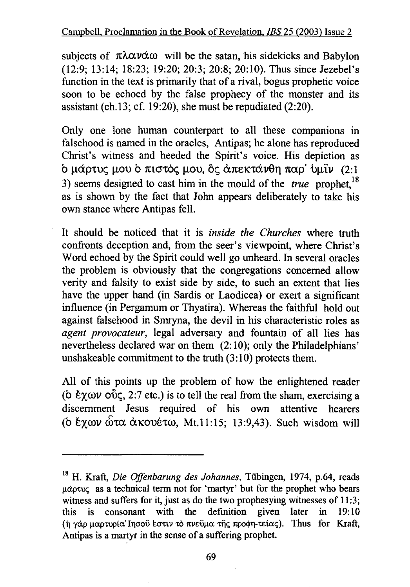subjects of  $\pi\lambda\alpha\nu\alpha\omega$  will be the satan, his sidekicks and Babylon (12:9; 13:14; 18:23; 19:20; 20:3; 20:8; 20:10). Thus since Jezebel's function in the text is primarily that of a rival, bogus prophetic voice soon to be echoed by the false prophecy of the monster and its assistant ( $ch.13$ ;  $cf. 19:20$ ), she must be repudiated (2:20).

Only one lone human counterpart to all these companions in falsehood is named in the oracles, Antipas; he alone has reproduced Christ's witness and heeded the Spirit's voice. His depiction as b μάρτυς μου b πιστός μου, δε άπεκτάνθη παρ' ύμιν: (2:1) 3) seems designed to cast him in the mould of the *true* prophet,<sup>18</sup> as is shown by the fact that John appears deliberately to take his own stance where Antipas fell.

It should be noticed that it is *inside the Churches* where truth confronts deception and, from the seer's viewpoint, where Christ's Word echoed by the Spirit could well go unheard. In several oracles the problem is obviously that the congregations concerned allow verity and falsity to exist side by side, to such an extent that lies have the upper hand (in Sardis or Laodicea) or exert a significant influence (in Pergamum or Thyatira). Whereas the faithful hold out against falsehood in Smryna, the devil in his characteristic roles as *agent provocateur,* legal adversary and fountain of all lies has nevertheless declared war on them (2: 10); only the Philadelphians' unshakeable commitment to the truth (3:10) protects them.

All of this points up the problem of how the enlightened reader (b  $\ell \gamma \omega \nu$  over 2:7 etc.) is to tell the real from the sham, exercising a discernment Jesus required of his own attentive hearers (b έγων ώτα άκουέτω, Mt.11:15; 13:9,43). Such wisdom will

<sup>&</sup>lt;sup>18</sup> H. Kraft, *Die Offenbarung des Johannes*, Tübingen, 1974, p.64, reads μάρτυς as a technical term not for 'martyr' but for the prophet who bears witness and suffers for it, just as do the two prophesying witnesses of 11:3;<br>this is consonant with the definition given later in 19:10 this is consonant with the definition given later in 19:10 (h γάρ μαρτυρία' Iησού εστιν το πνεύμα της προφη-τείας). Thus for Kraft, Antipas is a martyr in the sense of a suffering prophet.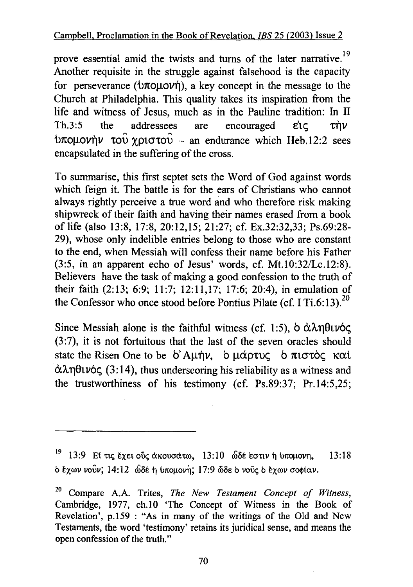prove essential amid the twists and turns of the later narrative.<sup>19</sup> Another requisite in the struggle against falsehood is the capacity for perseverance ( $\dot{\theta}$ ), a key concept in the message to the Church at Philadelphia. This quality takes its inspiration from the life and witness of Jesus, much as in the Pauline tradition: In II Th.3:5 the addressees are encouraged  $\epsilon'$ ic  $\tau \dot{\eta} \nu$  $\theta$ πομονήν του χριστου - an endurance which Heb.12:2 sees encapsulated in the suffering of the cross.

To summarise, this first septet sets the Word of God against words which feign it. The battle is for the ears of Christians who cannot always rightly perceive a true word and who therefore risk making shipwreck of their faith and having their names erased from a book of life (also 13:8, 17:8, 20:12,15; 21:27; cf. Ex.32:32,33; Ps.69:28- 29), whose only indelible entries belong to those who are constant to the end, when Messiah will confess their name before his Father (3:5, in an apparent echo of Jesus' words, cf. Mt.10:32/Lc.12:8). Believers have the task of making a good confession to the truth of their faith (2:13; 6:9; 11:7; 12:11,17; 17:6; 20:4), in emulation of the Confessor who once stood before Pontius Pilate (cf. I Ti.6:13).<sup>20</sup>

Since Messiah alone is the faithful witness (cf. 1:5),  $\delta \alpha \lambda \eta \theta \nu \delta \zeta$ (3:7), it is not fortuitous that the last of the seven oracles should state the Risen One to be  $\delta'$  Aunny, b  $\mu$  $\alpha$   $\beta$   $\tau$  $\alpha$  $\beta$   $\alpha$   $\alpha$   $\beta$  $\alpha \lambda \eta \theta \nu \zeta$  (3:14), thus underscoring his reliability as a witness and the trustworthiness of his testimony (cf. Ps.89:37; Pr.14:5,25;

 $19$  13:9 El τις έχει οὖς ακουσάτω, 13:10 ώδε εστιν η υπομονη, 13:18 b exrov *vouv;* 14: 12 ©BE ti l>noµovfi; 17:9 cMe: b voii~ b exrov crO<j>iav.

<sup>2</sup> ° Compare A.A. Trites, *The New Testament Concept of Witness,*  Cambridge, 1977, ch.10 'The Concept of Witness in the Book of Revelation', p.159 : "As in many of the writings of the Old and New Testaments, the word 'testimony' retains its juridical sense, and means the open confession of the truth."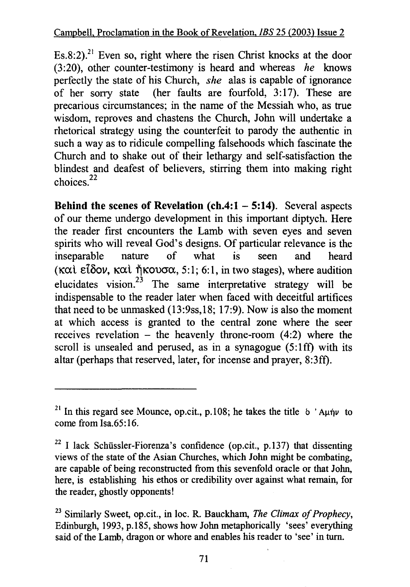Es.8:2).<sup>21</sup> Even so, right where the risen Christ knocks at the door (3:20), other counter-testimony is heard and whereas *he* knows perfectly the state of his Church, *she* alas is capable of ignorance of her sorry state (her faults are fourfold, 3:17). These are (her faults are fourfold,  $3:17$ ). These are precarious circumstances; in the name of the Messiah who, as true wisdom, reproves and chastens the Church, John will undertake a rhetorical strategy using the counterfeit to parody the authentic in such a way as to ridicule compelling falsehoods which fascinate the Church and to shake out of their lethargy and self-satisfaction the blindest and deafest of believers, stirring them into making right  $choices.<sup>22</sup>$ 

**Behind the** scenes **of Revelation (ch.4:1 - 5:14).** Several aspects of our theme undergo development in this important diptych. Here the reader first encounters the Lamb with seven eyes and seven spirits who will reveal God's designs. Of particular relevance is the inseparable nature of what is seen and heard ( $k\alpha$ )  $\alpha$ )  $\alpha$   $\alpha$ )  $\beta$   $\alpha$   $\beta$   $\alpha$ ,  $\alpha$ ,  $\beta$   $\alpha$ ,  $\beta$   $\alpha$ ,  $\beta$ ;  $\alpha$ ,  $\beta$ ;  $\alpha$ ,  $\beta$   $\alpha$ ,  $\beta$ ;  $\alpha$ ,  $\beta$   $\alpha$ ,  $\beta$ ;  $\alpha$ ,  $\beta$ ;  $\alpha$ ,  $\beta$ ;  $\alpha$ ,  $\beta$ ;  $\alpha$ ,  $\alpha$ ,  $\beta$ ;  $\alpha$ ,  $\beta$ ;  $\alpha$ ,  $\beta$ ;  $\alpha$ , elucidates vision.<sup>23</sup> The same interpretative strategy will be indispensable to the reader later when faced with deceitful artifices that need to be unmasked (13:9ss,18; 17:9). Now is also the moment at which access is granted to the central zone where the seer receives revelation  $-$  the heavenly throne-room  $(4:2)$  where the scroll is unsealed and perused, as in a synagogue  $(5:1\text{ ff})$  with its altar (perhaps that reserved, later, for incense and prayer, 8:3ff).

<sup>&</sup>lt;sup>21</sup> In this regard see Mounce, op.cit., p.108; he takes the title b 'Aµ $\eta$  to come from Isa.65:16.

<sup>&</sup>lt;sup>22</sup> I lack Schüssler-Fiorenza's confidence (op.cit., p.137) that dissenting views of the state of the Asian Churches, which John might be combating, are capable of being reconstructed from this sevenfold oracle or that John, here, is establishing his ethos or credibility over against what remain, for the reader, ghostly opponents!

<sup>23</sup> Similarly Sweet, op.cit., in loc. R. Bauckham, *The Climax of Prophecy,*  Edinburgh, 1993, p.185, shows how John metaphorically 'sees' everything said of the Lamb, dragon or whore and enables his reader to 'see' in turn.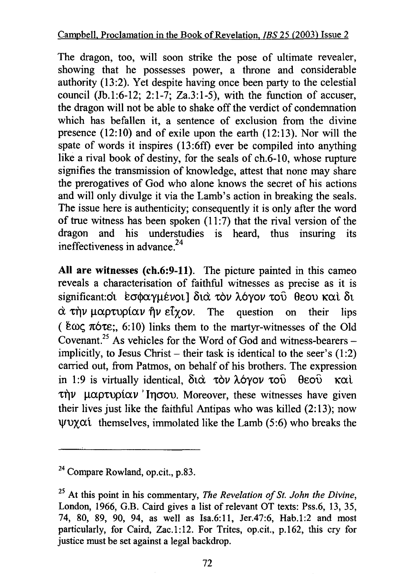The dragon, too, will soon strike the pose of ultimate revealer, showing that he possesses power, a throne and considerable authority (13:2). Yet despite having once been party to the celestial council (Jb.1:6-12; 2:1-7; Za.3:1-5), with the function of accuser, the dragon will not be able to shake off the verdict of condemnation which has befallen it, a sentence of exclusion from the divine presence (12:10) and of exile upon the earth (12:13). Nor will the spate of words it inspires (13:6ff) ever be compiled into anything like a rival book of destiny, for the seals of ch.6-10, whose rupture signifies the transmission of knowledge, attest that none may share the prerogatives of God who alone knows the secret of his actions and will only divulge it via the Lamb's action in breaking the seals. The issue here is authenticity; consequently it is only after the word of true witness has been spoken  $(11:7)$  that the rival version of the dragon and his understudies is heard, thus insuring its ineffectiveness in advance.<sup>24</sup>

All are witnesses (ch.6:9-11). The picture painted in this cameo reveals a characterisation of faithful witnesses as precise as it is significant: όι εσφαγμένοι] διά τον λόγον του θεου καί δι  $\dot{\alpha}$   $\tau$  $\dot{\eta}$ ν  $\mu \alpha$   $\rho \tau$   $\dot{\alpha}$   $\nu$   $\dot{\eta}$   $\nu$   $\epsilon$   $\dot{\gamma}$   $\alpha$   $\nu$ . The question on their lips (  $\text{\&} \omega \zeta \pi \text{ for } t_0$ ; 6:10) links them to the martyr-witnesses of the Old Covenant.<sup>25</sup> As vehicles for the Word of God and witness-bearers  $$ implicitly, to Jesus Christ – their task is identical to the seer's  $(1:2)$ carried out, from Patmos, on behalf of his brothers. The expression in 1:9 is virtually identical,  $\delta t \dot{\alpha}$   $\tau \dot{\alpha} \nu$   $\lambda \dot{\alpha} \gamma \dot{\alpha} \nu$   $\tau \dot{\alpha} \dot{\alpha}$ .  $\theta \dot{\alpha} \dot{\alpha} \dot{\alpha}$  $\tau \eta \nu$  μαρτυρίαν 'Inσου. Moreover, these witnesses have given their lives just like the faithful Antipas who was killed  $(2:13)$ ; now  $\forall$ UXCX. themselves, immolated like the Lamb (5:6) who breaks the

<sup>24</sup> Compare Rowland, op.cit., p.83.

<sup>25</sup> At this point in his commentary, *The Revelation of St. John the Divine,*  London, 1966, G.B. Caird gives a list of relevant OT texts: Pss.6, 13, 35, 74, 80, 89, 90, 94, as well as Isa.6:11, Jer.47:6, Hab.1:2 and most particularly, for Caird, Zac.1:12. For Trites, op.cit., p.162, this cry for justice must be set against a legal backdrop.